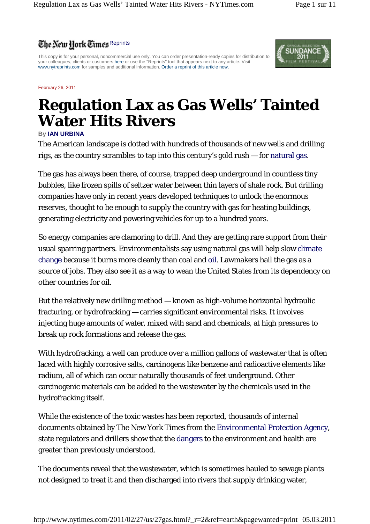### The New Hork Times Reprints

This copy is for your personal, noncommercial use only. You can order presentation-ready copies for distribution to your colleagues, clients or customers here or use the "Reprints" tool that appears next to any article. Visit www.nytreprints.com for samples and additional information. Order a reprint of this article now.

# **SUNDANCE**

#### February 26, 2011

## **Regulation Lax as Gas Wells' Tainted Water Hits Rivers**

#### **By IAN URBINA**

The American landscape is dotted with hundreds of thousands of new wells and drilling rigs, as the country scrambles to tap into this century's gold rush — for natural gas.

The gas has always been there, of course, trapped deep underground in countless tiny bubbles, like frozen spills of seltzer water between thin layers of shale rock. But drilling companies have only in recent years developed techniques to unlock the enormous reserves, thought to be enough to supply the country with gas for heating buildings, generating electricity and powering vehicles for up to a hundred years.

So energy companies are clamoring to drill. And they are getting rare support from their usual sparring partners. Environmentalists say using natural gas will help slow climate change because it burns more cleanly than coal and oil. Lawmakers hail the gas as a source of jobs. They also see it as a way to wean the United States from its dependency on other countries for oil.

But the relatively new drilling method — known as high-volume horizontal hydraulic fracturing, or hydrofracking — carries significant environmental risks. It involves injecting huge amounts of water, mixed with sand and chemicals, at high pressures to break up rock formations and release the gas.

With hydrofracking, a well can produce over a million gallons of wastewater that is often laced with highly corrosive salts, carcinogens like benzene and radioactive elements like radium, all of which can occur naturally thousands of feet underground. Other carcinogenic materials can be added to the wastewater by the chemicals used in the hydrofracking itself.

While the existence of the toxic wastes has been reported, thousands of internal documents obtained by The New York Times from the Environmental Protection Agency, state regulators and drillers show that the dangers to the environment and health are greater than previously understood.

The documents reveal that the wastewater, which is sometimes hauled to sewage plants not designed to treat it and then discharged into rivers that supply drinking water,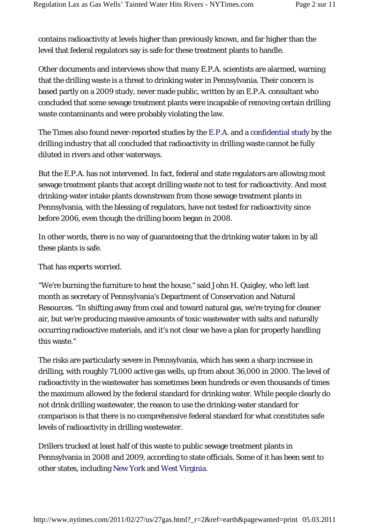contains radioactivity at levels higher than previously known, and far higher than the level that federal regulators say is safe for these treatment plants to handle.

Other documents and interviews show that many E.P.A. scientists are alarmed, warning that the drilling waste is a threat to drinking water in Pennsylvania. Their concern is based partly on a 2009 study, never made public, written by an E.P.A. consultant who concluded that some sewage treatment plants were incapable of removing certain drilling waste contaminants and were probably violating the law.

The Times also found never-reported studies by the E.P.A. and a confidential study by the drilling industry that all concluded that radioactivity in drilling waste cannot be fully diluted in rivers and other waterways.

But the E.P.A. has not intervened. In fact, federal and state regulators are allowing most sewage treatment plants that accept drilling waste not to test for radioactivity. And most drinking-water intake plants downstream from those sewage treatment plants in Pennsylvania, with the blessing of regulators, have not tested for radioactivity since before 2006, even though the drilling boom began in 2008.

In other words, there is no way of guaranteeing that the drinking water taken in by all these plants is safe.

That has experts worried.

"We're burning the furniture to heat the house," said John H. Quigley, who left last month as secretary of Pennsylvania's Department of Conservation and Natural Resources. "In shifting away from coal and toward natural gas, we're trying for cleaner air, but we're producing massive amounts of toxic wastewater with salts and naturally occurring radioactive materials, and it's not clear we have a plan for properly handling this waste."

The risks are particularly severe in Pennsylvania, which has seen a sharp increase in drilling, with roughly 71,000 active gas wells, up from about 36,000 in 2000. The level of radioactivity in the wastewater has sometimes been hundreds or even thousands of times the maximum allowed by the federal standard for drinking water. While people clearly do not drink drilling wastewater, the reason to use the drinking-water standard for comparison is that there is no comprehensive federal standard for what constitutes safe levels of radioactivity in drilling wastewater.

Drillers trucked at least half of this waste to public sewage treatment plants in Pennsylvania in 2008 and 2009, according to state officials. Some of it has been sent to other states, including New York and West Virginia.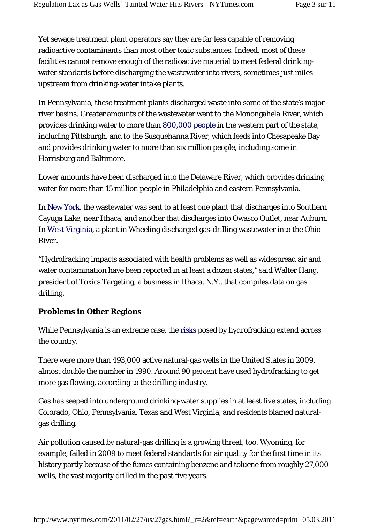Yet sewage treatment plant operators say they are far less capable of removing radioactive contaminants than most other toxic substances. Indeed, most of these facilities cannot remove enough of the radioactive material to meet federal drinkingwater standards before discharging the wastewater into rivers, sometimes just miles upstream from drinking-water intake plants.

In Pennsylvania, these treatment plants discharged waste into some of the state's major river basins. Greater amounts of the wastewater went to the Monongahela River, which provides drinking water to more than 800,000 people in the western part of the state, including Pittsburgh, and to the Susquehanna River, which feeds into Chesapeake Bay and provides drinking water to more than six million people, including some in Harrisburg and Baltimore.

Lower amounts have been discharged into the Delaware River, which provides drinking water for more than 15 million people in Philadelphia and eastern Pennsylvania.

In New York, the wastewater was sent to at least one plant that discharges into Southern Cayuga Lake, near Ithaca, and another that discharges into Owasco Outlet, near Auburn. In West Virginia, a plant in Wheeling discharged gas-drilling wastewater into the Ohio River.

"Hydrofracking impacts associated with health problems as well as widespread air and water contamination have been reported in at least a dozen states," said Walter Hang, president of Toxics Targeting, a business in Ithaca, N.Y., that compiles data on gas drilling.

#### **Problems in Other Regions**

While Pennsylvania is an extreme case, the risks posed by hydrofracking extend across the country.

There were more than 493,000 active natural-gas wells in the United States in 2009, almost double the number in 1990. Around 90 percent have used hydrofracking to get more gas flowing, according to the drilling industry.

Gas has seeped into underground drinking-water supplies in at least five states, including Colorado, Ohio, Pennsylvania, Texas and West Virginia, and residents blamed naturalgas drilling.

Air pollution caused by natural-gas drilling is a growing threat, too. Wyoming, for example, failed in 2009 to meet federal standards for air quality for the first time in its history partly because of the fumes containing benzene and toluene from roughly 27,000 wells, the vast majority drilled in the past five years.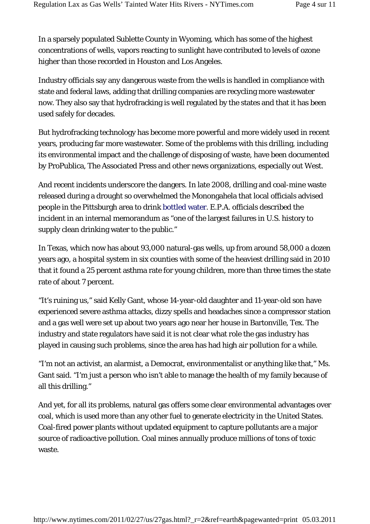In a sparsely populated Sublette County in Wyoming, which has some of the highest concentrations of wells, vapors reacting to sunlight have contributed to levels of ozone higher than those recorded in Houston and Los Angeles.

Industry officials say any dangerous waste from the wells is handled in compliance with state and federal laws, adding that drilling companies are recycling more wastewater now. They also say that hydrofracking is well regulated by the states and that it has been used safely for decades.

But hydrofracking technology has become more powerful and more widely used in recent years, producing far more wastewater. Some of the problems with this drilling, including its environmental impact and the challenge of disposing of waste, have been documented by ProPublica, The Associated Press and other news organizations, especially out West.

And recent incidents underscore the dangers. In late 2008, drilling and coal-mine waste released during a drought so overwhelmed the Monongahela that local officials advised people in the Pittsburgh area to drink bottled water. E.P.A. officials described the incident in an internal memorandum as "one of the largest failures in U.S. history to supply clean drinking water to the public."

In Texas, which now has about 93,000 natural-gas wells, up from around 58,000 a dozen years ago, a hospital system in six counties with some of the heaviest drilling said in 2010 that it found a 25 percent asthma rate for young children, more than three times the state rate of about 7 percent.

"It's ruining us," said Kelly Gant, whose 14-year-old daughter and 11-year-old son have experienced severe asthma attacks, dizzy spells and headaches since a compressor station and a gas well were set up about two years ago near her house in Bartonville, Tex. The industry and state regulators have said it is not clear what role the gas industry has played in causing such problems, since the area has had high air pollution for a while.

"I'm not an activist, an alarmist, a Democrat, environmentalist or anything like that," Ms. Gant said. "I'm just a person who isn't able to manage the health of my family because of all this drilling."

And yet, for all its problems, natural gas offers some clear environmental advantages over coal, which is used more than any other fuel to generate electricity in the United States. Coal-fired power plants without updated equipment to capture pollutants are a major source of radioactive pollution. Coal mines annually produce millions of tons of toxic waste.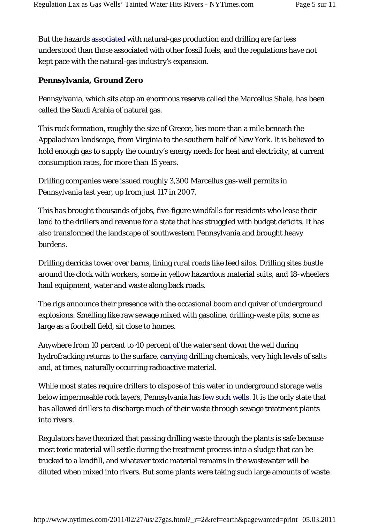But the hazards associated with natural-gas production and drilling are far less understood than those associated with other fossil fuels, and the regulations have not kept pace with the natural-gas industry's expansion.

#### **Pennsylvania, Ground Zero**

Pennsylvania, which sits atop an enormous reserve called the Marcellus Shale, has been called the Saudi Arabia of natural gas.

This rock formation, roughly the size of Greece, lies more than a mile beneath the Appalachian landscape, from Virginia to the southern half of New York. It is believed to hold enough gas to supply the country's energy needs for heat and electricity, at current consumption rates, for more than 15 years.

Drilling companies were issued roughly 3,300 Marcellus gas-well permits in Pennsylvania last year, up from just 117 in 2007.

This has brought thousands of jobs, five-figure windfalls for residents who lease their land to the drillers and revenue for a state that has struggled with budget deficits. It has also transformed the landscape of southwestern Pennsylvania and brought heavy burdens.

Drilling derricks tower over barns, lining rural roads like feed silos. Drilling sites bustle around the clock with workers, some in yellow hazardous material suits, and 18-wheelers haul equipment, water and waste along back roads.

The rigs announce their presence with the occasional boom and quiver of underground explosions. Smelling like raw sewage mixed with gasoline, drilling-waste pits, some as large as a football field, sit close to homes.

Anywhere from 10 percent to 40 percent of the water sent down the well during hydrofracking returns to the surface, carrying drilling chemicals, very high levels of salts and, at times, naturally occurring radioactive material.

While most states require drillers to dispose of this water in underground storage wells below impermeable rock layers, Pennsylvania has few such wells. It is the only state that has allowed drillers to discharge much of their waste through sewage treatment plants into rivers.

Regulators have theorized that passing drilling waste through the plants is safe because most toxic material will settle during the treatment process into a sludge that can be trucked to a landfill, and whatever toxic material remains in the wastewater will be diluted when mixed into rivers. But some plants were taking such large amounts of waste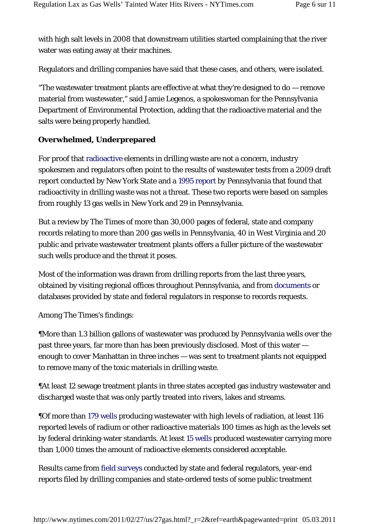with high salt levels in 2008 that downstream utilities started complaining that the river water was eating away at their machines.

Regulators and drilling companies have said that these cases, and others, were isolated.

"The wastewater treatment plants are effective at what they're designed to do — remove material from wastewater," said Jamie Legenos, a spokeswoman for the Pennsylvania Department of Environmental Protection, adding that the radioactive material and the salts were being properly handled.

#### **Overwhelmed, Underprepared**

For proof that radioactive elements in drilling waste are not a concern, industry spokesmen and regulators often point to the results of wastewater tests from a 2009 draft report conducted by New York State and a 1995 report by Pennsylvania that found that radioactivity in drilling waste was not a threat. These two reports were based on samples from roughly 13 gas wells in New York and 29 in Pennsylvania.

But a review by The Times of more than 30,000 pages of federal, state and company records relating to more than 200 gas wells in Pennsylvania, 40 in West Virginia and 20 public and private wastewater treatment plants offers a fuller picture of the wastewater such wells produce and the threat it poses.

Most of the information was drawn from drilling reports from the last three years, obtained by visiting regional offices throughout Pennsylvania, and from documents or databases provided by state and federal regulators in response to records requests.

Among The Times's findings:

¶More than 1.3 billion gallons of wastewater was produced by Pennsylvania wells over the past three years, far more than has been previously disclosed. Most of this water enough to cover Manhattan in three inches — was sent to treatment plants not equipped to remove many of the toxic materials in drilling waste.

¶At least 12 sewage treatment plants in three states accepted gas industry wastewater and discharged waste that was only partly treated into rivers, lakes and streams.

¶Of more than 179 wells producing wastewater with high levels of radiation, at least 116 reported levels of radium or other radioactive materials 100 times as high as the levels set by federal drinking-water standards. At least 15 wells produced wastewater carrying more than 1,000 times the amount of radioactive elements considered acceptable.

Results came from field surveys conducted by state and federal regulators, year-end reports filed by drilling companies and state-ordered tests of some public treatment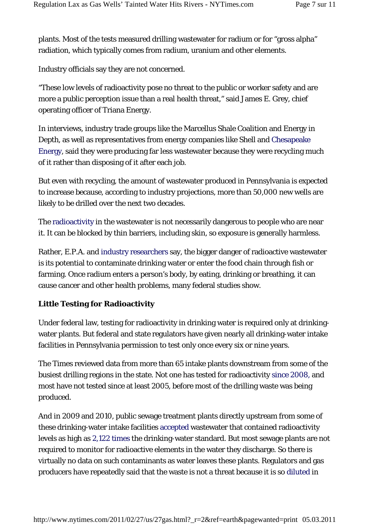plants. Most of the tests measured drilling wastewater for radium or for "gross alpha" radiation, which typically comes from radium, uranium and other elements.

Industry officials say they are not concerned.

"These low levels of radioactivity pose no threat to the public or worker safety and are more a public perception issue than a real health threat," said James E. Grey, chief operating officer of Triana Energy.

In interviews, industry trade groups like the Marcellus Shale Coalition and Energy in Depth, as well as representatives from energy companies like Shell and Chesapeake Energy, said they were producing far less wastewater because they were recycling much of it rather than disposing of it after each job.

But even with recycling, the amount of wastewater produced in Pennsylvania is expected to increase because, according to industry projections, more than 50,000 new wells are likely to be drilled over the next two decades.

The radioactivity in the wastewater is not necessarily dangerous to people who are near it. It can be blocked by thin barriers, including skin, so exposure is generally harmless.

Rather, E.P.A. and industry researchers say, the bigger danger of radioactive wastewater is its potential to contaminate drinking water or enter the food chain through fish or farming. Once radium enters a person's body, by eating, drinking or breathing, it can cause cancer and other health problems, many federal studies show.

#### **Little Testing for Radioactivity**

Under federal law, testing for radioactivity in drinking water is required only at drinkingwater plants. But federal and state regulators have given nearly all drinking-water intake facilities in Pennsylvania permission to test only once every six or nine years.

The Times reviewed data from more than 65 intake plants downstream from some of the busiest drilling regions in the state. Not one has tested for radioactivity since 2008, and most have not tested since at least 2005, before most of the drilling waste was being produced.

And in 2009 and 2010, public sewage treatment plants directly upstream from some of these drinking-water intake facilities accepted wastewater that contained radioactivity levels as high as 2,122 times the drinking-water standard. But most sewage plants are not required to monitor for radioactive elements in the water they discharge. So there is virtually no data on such contaminants as water leaves these plants. Regulators and gas producers have repeatedly said that the waste is not a threat because it is so diluted in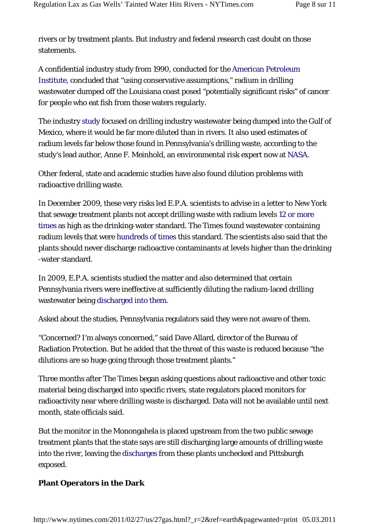rivers or by treatment plants. But industry and federal research cast doubt on those statements.

A confidential industry study from 1990, conducted for the American Petroleum Institute, concluded that "using conservative assumptions," radium in drilling wastewater dumped off the Louisiana coast posed "potentially significant risks" of cancer for people who eat fish from those waters regularly.

The industry study focused on drilling industry wastewater being dumped into the Gulf of Mexico, where it would be far more diluted than in rivers. It also used estimates of radium levels far below those found in Pennsylvania's drilling waste, according to the study's lead author, Anne F. Meinhold, an environmental risk expert now at NASA.

Other federal, state and academic studies have also found dilution problems with radioactive drilling waste.

In December 2009, these very risks led E.P.A. scientists to advise in a letter to New York that sewage treatment plants not accept drilling waste with radium levels 12 or more times as high as the drinking-water standard. The Times found wastewater containing radium levels that were hundreds of times this standard. The scientists also said that the plants should never discharge radioactive contaminants at levels higher than the drinking -water standard.

In 2009, E.P.A. scientists studied the matter and also determined that certain Pennsylvania rivers were ineffective at sufficiently diluting the radium-laced drilling wastewater being discharged into them.

Asked about the studies, Pennsylvania regulators said they were not aware of them.

"Concerned? I'm always concerned," said Dave Allard, director of the Bureau of Radiation Protection. But he added that the threat of this waste is reduced because "the dilutions are so huge going through those treatment plants."

Three months after The Times began asking questions about radioactive and other toxic material being discharged into specific rivers, state regulators placed monitors for radioactivity near where drilling waste is discharged. Data will not be available until next month, state officials said.

But the monitor in the Monongahela is placed upstream from the two public sewage treatment plants that the state says are still discharging large amounts of drilling waste into the river, leaving the discharges from these plants unchecked and Pittsburgh exposed.

#### **Plant Operators in the Dark**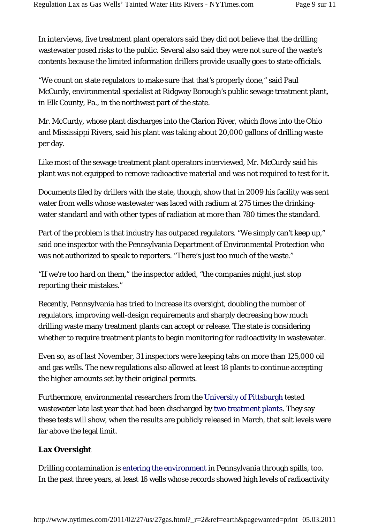In interviews, five treatment plant operators said they did not believe that the drilling wastewater posed risks to the public. Several also said they were not sure of the waste's contents because the limited information drillers provide usually goes to state officials.

"We count on state regulators to make sure that that's properly done," said Paul McCurdy, environmental specialist at Ridgway Borough's public sewage treatment plant, in Elk County, Pa., in the northwest part of the state.

Mr. McCurdy, whose plant discharges into the Clarion River, which flows into the Ohio and Mississippi Rivers, said his plant was taking about 20,000 gallons of drilling waste per day.

Like most of the sewage treatment plant operators interviewed, Mr. McCurdy said his plant was not equipped to remove radioactive material and was not required to test for it.

Documents filed by drillers with the state, though, show that in 2009 his facility was sent water from wells whose wastewater was laced with radium at 275 times the drinkingwater standard and with other types of radiation at more than 780 times the standard.

Part of the problem is that industry has outpaced regulators. "We simply can't keep up," said one inspector with the Pennsylvania Department of Environmental Protection who was not authorized to speak to reporters. "There's just too much of the waste."

"If we're too hard on them," the inspector added, "the companies might just stop reporting their mistakes."

Recently, Pennsylvania has tried to increase its oversight, doubling the number of regulators, improving well-design requirements and sharply decreasing how much drilling waste many treatment plants can accept or release. The state is considering whether to require treatment plants to begin monitoring for radioactivity in wastewater.

Even so, as of last November, 31 inspectors were keeping tabs on more than 125,000 oil and gas wells. The new regulations also allowed at least 18 plants to continue accepting the higher amounts set by their original permits.

Furthermore, environmental researchers from the University of Pittsburgh tested wastewater late last year that had been discharged by two treatment plants. They say these tests will show, when the results are publicly released in March, that salt levels were far above the legal limit.

#### **Lax Oversight**

Drilling contamination is entering the environment in Pennsylvania through spills, too. In the past three years, at least 16 wells whose records showed high levels of radioactivity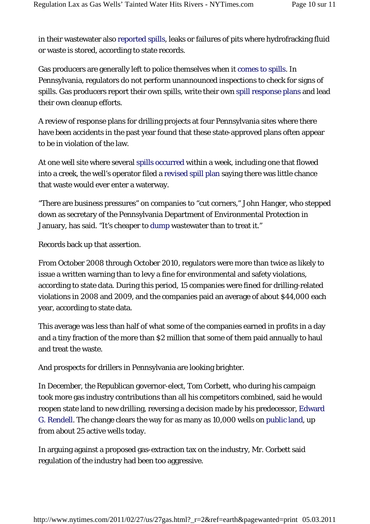in their wastewater also reported spills, leaks or failures of pits where hydrofracking fluid or waste is stored, according to state records.

Gas producers are generally left to police themselves when it comes to spills. In Pennsylvania, regulators do not perform unannounced inspections to check for signs of spills. Gas producers report their own spills, write their own spill response plans and lead their own cleanup efforts.

A review of response plans for drilling projects at four Pennsylvania sites where there have been accidents in the past year found that these state-approved plans often appear to be in violation of the law.

At one well site where several spills occurred within a week, including one that flowed into a creek, the well's operator filed a revised spill plan saying there was little chance that waste would ever enter a waterway.

"There are business pressures" on companies to "cut corners," John Hanger, who stepped down as secretary of the Pennsylvania Department of Environmental Protection in January, has said. "It's cheaper to dump wastewater than to treat it."

Records back up that assertion.

From October 2008 through October 2010, regulators were more than twice as likely to issue a written warning than to levy a fine for environmental and safety violations, according to state data. During this period, 15 companies were fined for drilling-related violations in 2008 and 2009, and the companies paid an average of about \$44,000 each year, according to state data.

This average was less than half of what some of the companies earned in profits in a day and a tiny fraction of the more than \$2 million that some of them paid annually to haul and treat the waste.

And prospects for drillers in Pennsylvania are looking brighter.

In December, the Republican governor-elect, Tom Corbett, who during his campaign took more gas industry contributions than all his competitors combined, said he would reopen state land to new drilling, reversing a decision made by his predecessor, Edward G. Rendell. The change clears the way for as many as 10,000 wells on public land, up from about 25 active wells today.

In arguing against a proposed gas-extraction tax on the industry, Mr. Corbett said regulation of the industry had been too aggressive.